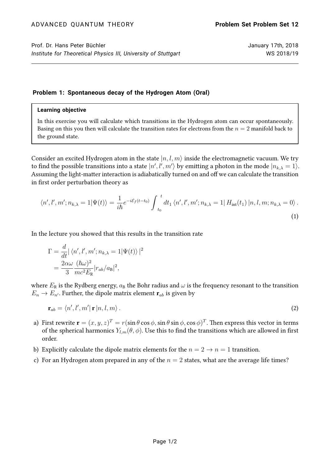## **Problem 1: Spontaneous decay of the Hydrogen Atom (Oral)**

## **Learning objective**

In this exercise you will calculate which transitions in the Hydrogen atom can occur spontaneously. Basing on this you then will calculate the transition rates for electrons from the  $n = 2$  manifold back to the ground state.

Consider an excited Hydrogen atom in the state  $|n, l, m\rangle$  inside the electromagnetic vacuum. We try to find the possible transitions into a state  $|n',l',m'\rangle$  by emitting a photon in the mode  $|n_{k,\lambda}=1\rangle.$ Assuming the light-matter interaction is adiabatically turned on and off we can calculate the transition in first order perturbation theory as

$$
\langle n', l', m'; n_{k,\lambda} = 1 | \Psi(t) \rangle = \frac{1}{i\hbar} e^{-i\varepsilon_f (t - t_0)} \int_{t_0}^t dt_1 \langle n', l', m'; n_{k,\lambda} = 1 | H_{\text{int}}(t_1) | n, l, m; n_{k,\lambda} = 0 \rangle.
$$
\n(1)

In the lecture you showed that this results in the transition rate

$$
\Gamma = \frac{d}{dt} |\langle n', l', m'; n_{k,\lambda} = 1 | \Psi(t) \rangle|^2
$$
  
= 
$$
\frac{2\alpha\omega}{3} \frac{(\hbar\omega)^2}{mc^2 E_R} |r_{ab}/a_B|^2,
$$

where  $E_R$  is the Rydberg energy,  $a_B$  the Bohr radius and  $\omega$  is the frequency resonant to the transition  $E_n \to E_{n'}$ . Further, the dipole matrix element  $\mathbf{r}_{ab}$  is given by

$$
\mathbf{r}_{ab} = \langle n', l', m' | \mathbf{r} | n, l, m \rangle. \tag{2}
$$

- a) First rewrite  $\mathbf{r}=(x,y,z)^T=r(\sin\theta\cos\phi,\sin\theta\sin\phi,\cos\phi)^T.$  Then express this vector in terms of the spherical harmonics  $Y_{lm}(\theta, \phi)$ . Use this to find the transitions which are allowed in first order.
- b) Explicitly calculate the dipole matrix elements for the  $n = 2 \rightarrow n = 1$  transition.
- c) For an Hydrogen atom prepared in any of the  $n = 2$  states, what are the average life times?